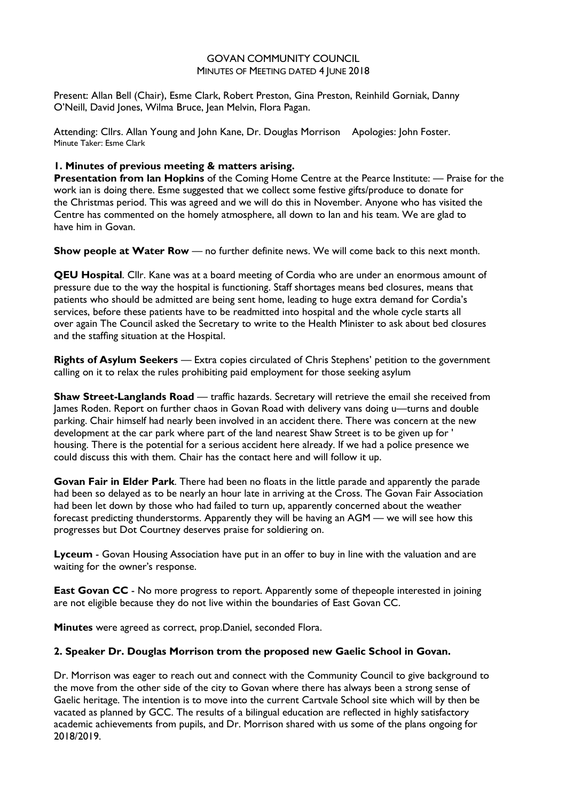## GOVAN COMMUNITY COUNCIL MINUTES OF MEETING DATED 4 JUNE 2018

Present: Allan Bell (Chair), Esme Clark, Robert Preston, Gina Preston, Reinhild Gorniak, Danny O'Neill, David Jones, Wilma Bruce, Jean Melvin, Flora Pagan.

Attending: Cllrs. Allan Young and John Kane, Dr. Douglas Morrison Apologies: John Foster. Minute Taker: Esme Clark

## **1. Minutes of previous meeting & matters arising.**

**Presentation from lan Hopkins** of the Coming Home Centre at the Pearce Institute: — Praise for the work ian is doing there. Esme suggested that we collect some festive gifts/produce to donate for the Christmas period. This was agreed and we will do this in November. Anyone who has visited the Centre has commented on the homely atmosphere, all down to Ian and his team. We are glad to have him in Govan.

**Show people at Water Row** — no further definite news. We will come back to this next month.

**QEU Hospital**. Cllr. Kane was at a board meeting of Cordia who are under an enormous amount of pressure due to the way the hospital is functioning. Staff shortages means bed closures, means that patients who should be admitted are being sent home, leading to huge extra demand for Cordia's services, before these patients have to be readmitted into hospital and the whole cycle starts all over again The Council asked the Secretary to write to the Health Minister to ask about bed closures and the staffing situation at the Hospital.

**Rights of Asylum Seekers** — Extra copies circulated of Chris Stephens' petition to the government calling on it to relax the rules prohibiting paid employment for those seeking asylum

**Shaw Street-Langlands Road** — traffic hazards. Secretary will retrieve the email she received from James Roden. Report on further chaos in Govan Road with delivery vans doing u—turns and double parking. Chair himself had nearly been involved in an accident there. There was concern at the new development at the car park where part of the land nearest Shaw Street is to be given up for ' housing. There is the potential for a serious accident here already. If we had a police presence we could discuss this with them. Chair has the contact here and will follow it up.

**Govan Fair in Elder Park**. There had been no floats in the little parade and apparently the parade had been so delayed as to be nearly an hour late in arriving at the Cross. The Govan Fair Association had been let down by those who had failed to turn up, apparently concerned about the weather forecast predicting thunderstorms. Apparently they will be having an AGM — we will see how this progresses but Dot Courtney deserves praise for soldiering on.

**Lyceum** - Govan Housing Association have put in an offer to buy in line with the valuation and are waiting for the owner's response.

**East Govan CC** - No more progress to report. Apparently some of thepeople interested in joining are not eligible because they do not live within the boundaries of East Govan CC.

**Minutes** were agreed as correct, prop.Daniel, seconded Flora.

## **2. Speaker Dr. Douglas Morrison trom the proposed new Gaelic School in Govan.**

Dr. Morrison was eager to reach out and connect with the Community Council to give background to the move from the other side of the city to Govan where there has always been a strong sense of Gaelic heritage. The intention is to move into the current Cartvale School site which will by then be vacated as planned by GCC. The results of a bilingual education are reflected in highly satisfactory academic achievements from pupils, and Dr. Morrison shared with us some of the plans ongoing for 2018/2019.